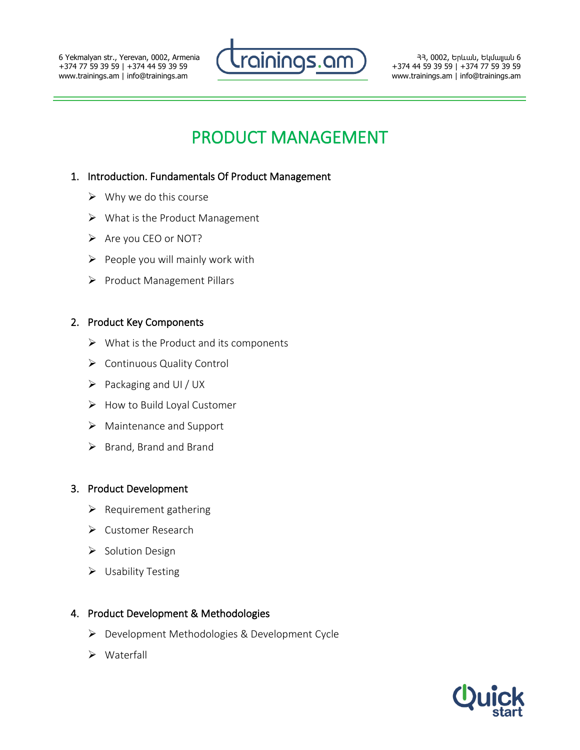6 Yekmalyan str., Yerevan, 0002, Armenia +374 77 59 39 59 | +374 44 59 39 59 www.trainings.am | info@trainings.am



ՀՀ, 0002, Երևան, Եկմալյան 6 +374 44 59 39 59 | +374 77 59 39 59 www.trainings.am | info@trainings.am

# PRODUCT MANAGEMENT

## 1. Introduction. Fundamentals Of Product Management

- $\triangleright$  Why we do this course
- ➢ What is the Product Management
- ➢ Are you CEO or NOT?
- $\triangleright$  People you will mainly work with
- ➢ Product Management Pillars

#### 2. Product Key Components

- $\triangleright$  What is the Product and its components
- ➢ Continuous Quality Control
- $\triangleright$  Packaging and UI / UX
- ➢ How to Build Loyal Customer
- ➢ Maintenance and Support
- ➢ Brand, Brand and Brand

#### 3. Product Development

- $\triangleright$  Requirement gathering
- ➢ Customer Research
- ➢ Solution Design
- ➢ Usability Testing

#### 4. Product Development & Methodologies

- ➢ Development Methodologies & Development Cycle
- ➢ Waterfall

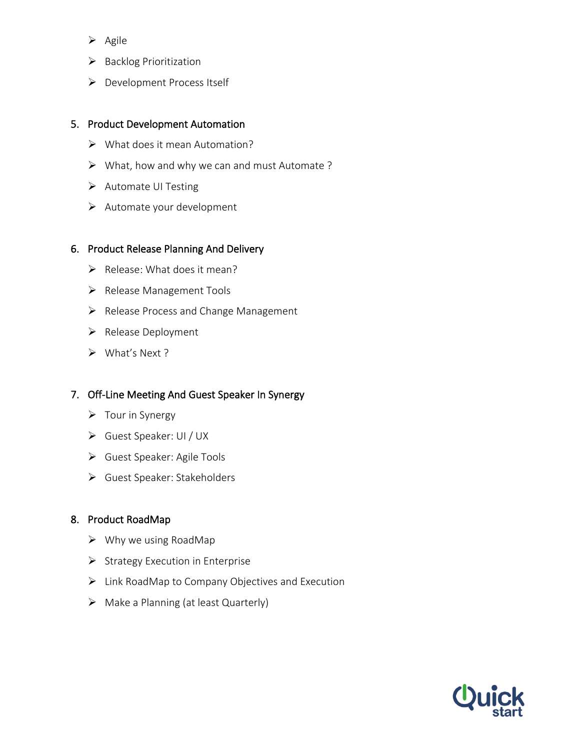- ➢ Agile
- ➢ Backlog Prioritization
- ➢ Development Process Itself

#### 5. Product Development Automation

- $\triangleright$  What does it mean Automation?
- ➢ What, how and why we can and must Automate ?
- ➢ Automate UI Testing
- ➢ Automate your development

#### 6. Product Release Planning And Delivery

- $\triangleright$  Release: What does it mean?
- ➢ Release Management Tools
- ➢ Release Process and Change Management
- ➢ Release Deployment
- ➢ What's Next ?

## 7. Off-Line Meeting And Guest Speaker In Synergy

- $\triangleright$  Tour in Synergy
- ➢ Guest Speaker: UI / UX
- ➢ Guest Speaker: Agile Tools
- ➢ Guest Speaker: Stakeholders

## 8. Product RoadMap

- $\triangleright$  Why we using RoadMap
- ➢ Strategy Execution in Enterprise
- ➢ Link RoadMap to Company Objectives and Execution
- $\triangleright$  Make a Planning (at least Quarterly)

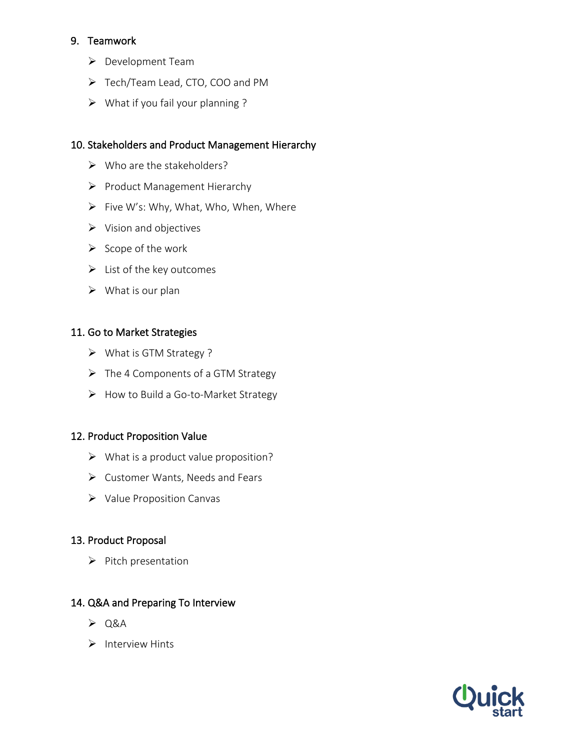# 9. Teamwork

- ➢ Development Team
- ➢ Tech/Team Lead, CTO, COO and PM
- $\triangleright$  What if you fail your planning ?

# 10. Stakeholders and Product Management Hierarchy

- $\triangleright$  Who are the stakeholders?
- ➢ Product Management Hierarchy
- $\triangleright$  Five W's: Why, What, Who, When, Where
- ➢ Vision and objectives
- $\triangleright$  Scope of the work
- $\triangleright$  List of the key outcomes
- $\triangleright$  What is our plan

## 11. Go to Market Strategies

- ➢ What is GTM Strategy ?
- ➢ The 4 Components of a GTM Strategy
- ➢ How to Build a Go-to-Market Strategy

## 12. Product Proposition Value

- $\triangleright$  What is a product value proposition?
- ➢ Customer Wants, Needs and Fears
- ➢ Value Proposition Canvas

## 13. Product Proposal

➢ Pitch presentation

## 14. Q&A and Preparing To Interview

- $\geq$  Q&A
- ➢ Interview Hints